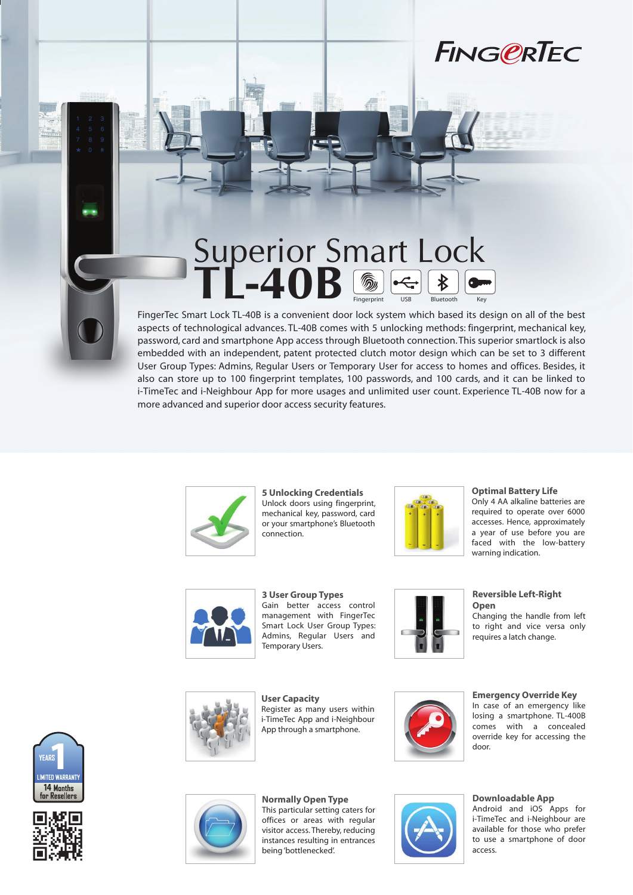

## Fingerprint USB Bluetooth Key **Superior Smart Lock TL-40B**

FingerTec Smart Lock TL-40B is a convenient door lock system which based its design on all of the best aspects of technological advances. TL-40B comes with 5 unlocking methods: fingerprint, mechanical key, password, card and smartphone App access through Bluetooth connection. This superior smartlock is also embedded with an independent, patent protected clutch motor design which can be set to 3 different User Group Types: Admins, Regular Users or Temporary User for access to homes and offices. Besides, it also can store up to 100 fingerprint templates, 100 passwords, and 100 cards, and it can be linked to i-TimeTec and i-Neighbour App for more usages and unlimited user count. Experience TL-40B now for a more advanced and superior door access security features.



**5 Unlocking Credentials** Unlock doors using fingerprint, mechanical key, password, card or your smartphone's Bluetooth connection.



**Optimal Battery Life**

Only 4 AA alkaline batteries are required to operate over 6000 accesses. Hence, approximately a year of use before you are faced with the low-battery warning indication.



**3 User Group Types** Gain better access control management with FingerTec Smart Lock User Group Types: Admins, Regular Users and Temporary Users.



**Reversible Left-Right Open**

Changing the handle from left to right and vice versa only requires a latch change.

**User Capacity** Register as many users within i-TimeTec App and i-Neighbour App through a smartphone.



**Emergency Override Key** In case of an emergency like losing a smartphone. TL-400B comes with a concealed override key for accessing the door.







**Normally Open Type** This particular setting caters for offices or areas with regular visitor access. Thereby, reducing instances resulting in entrances being 'bottlenecked'.



**Downloadable App**

Android and iOS Apps for i-TimeTec and i-Neighbour are available for those who prefer to use a smartphone of door access.